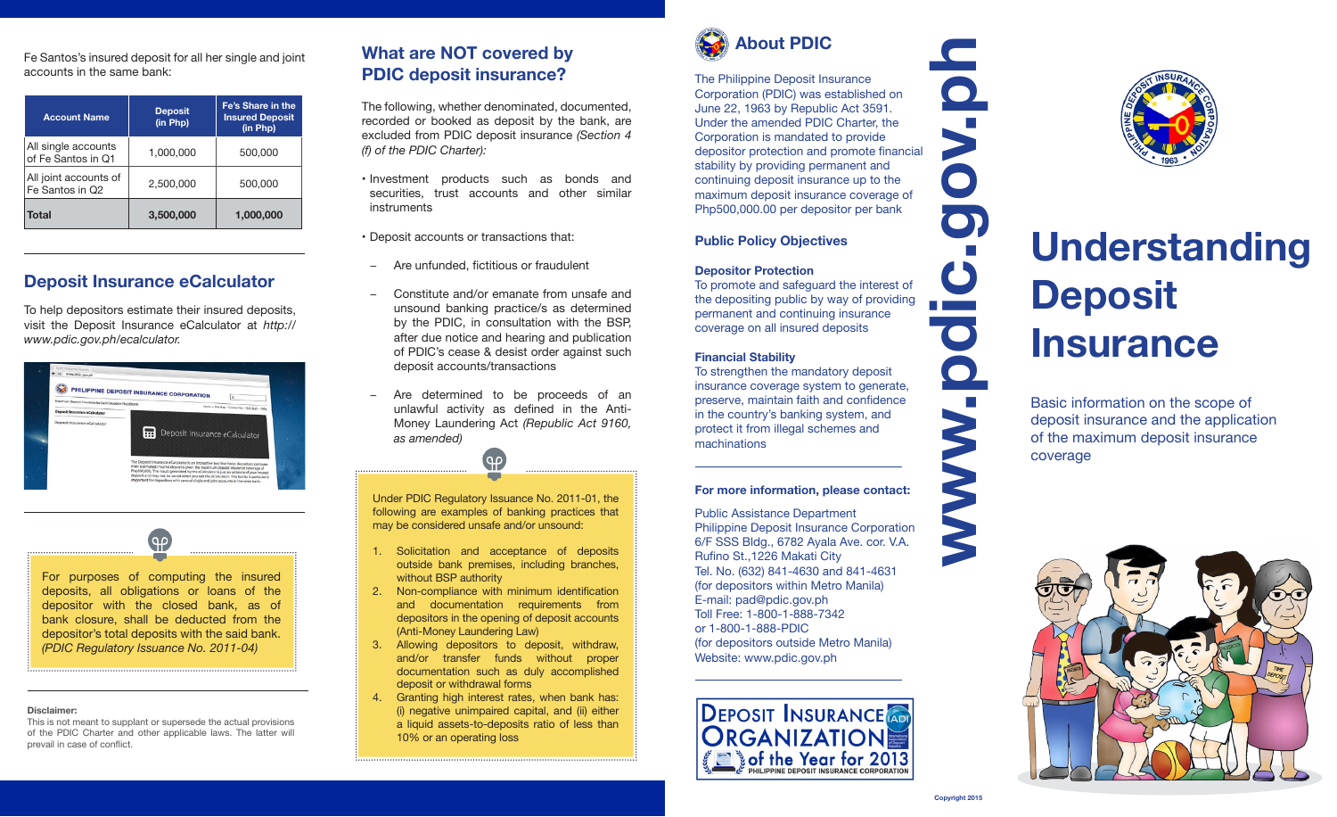Fe Santos's insured deposit for all her single and joint accounts in the same bank:

| <b>Account Name</b>                       | <b>Deposit</b><br>(in Php) | Fe's Share in the<br><b>Insured Deposit</b><br>(in Php) |
|-------------------------------------------|----------------------------|---------------------------------------------------------|
| All single accounts<br>of Fe Santos in Q1 | 1,000,000                  | 500,000                                                 |
| All joint accounts of<br>Fe Santos in Q2  | 2,500,000                  | 500,000                                                 |
| <b>Total</b>                              | 3,500,000                  | 1,000,000                                               |

## **Deposit Insurance eCalculator**

To help depositors estimate their insured deposits, visit the Deposit Insurance eCalculator at *http:// www.pdic.gov.ph/ecalculator.*

|                                                         | PHILIPPINE DEPOSIT INSURANCE CORPORATION<br>$\alpha$ |
|---------------------------------------------------------|------------------------------------------------------|
| Maximum Deposit Insurance for Each Depositor Pho500.000 | Home - Site Map - Contact Us - PDICMall - FAOs       |
| Deposit Insurance eCalculator                           |                                                      |
| Deposit Insurance eCalculator                           |                                                      |
|                                                         | Deposit Insurance eCalculator                        |

 $\Theta$ For purposes of computing the insured deposits, all obligations or loans of the depositor with the closed bank, as of bank closure, shall be deducted from the depositor's total deposits with the said bank. *(PDIC Regulatory Issuance No. 2011-04)*

#### **Disclaimer:**

This is not meant to supplant or supersede the actual provisions of the PDIC Charter and other applicable laws. The latter will prevail in case of conflict.

### **What are NOT covered by PDIC deposit insurance?**

The following, whether denominated, documented, recorded or booked as deposit by the bank, are excluded from PDIC deposit insurance *(Section 4 (f) of the PDIC Charter):*

• Investment products such as bonds and securities, trust accounts and other similar instruments

• Deposit accounts or transactions that:

- − Are unfunded, fictitious or fraudulent
- − Constitute and/or emanate from unsafe and unsound banking practice/s as determined by the PDIC, in consultation with the BSP, after due notice and hearing and publication of PDIC's cease & desist order against such deposit accounts/transactions
- Are determined to be proceeds of an unlawful activity as defined in the Anti-Money Laundering Act *(Republic Act 9160, as amended)*

Under PDIC Regulatory Issuance No. 2011-01, the following are examples of banking practices that may be considered unsafe and/or unsound:

- 1. Solicitation and acceptance of deposits outside bank premises, including branches, without BSP authority
- 2. Non-compliance with minimum identification and documentation requirements from depositors in the opening of deposit accounts (Anti-Money Laundering Law)
- 3. Allowing depositors to deposit, withdraw, and/or transfer funds without proper documentation such as duly accomplished deposit or withdrawal forms
- 4. Granting high interest rates, when bank has: (i) negative unimpaired capital, and (ii) either a liquid assets-to-deposits ratio of less than 10% or an operating loss



The Philippine Deposit Insurance Corporation (PDIC) was established on June 22, 1963 by Republic Act 3591. Under the amended PDIC Charter, the Corporation is mandated to provide depositor protection and promote financial stability by providing permanent and continuing deposit insurance up to the maximum deposit insurance coverage of Php500,000.00 per depositor per bank

#### **Public Policy Objectives**

#### **Depositor Protection**

**www.pdic.gov.ph** To promote and safeguard the interest of the depositing public by way of providing permanent and continuing insurance coverage on all insured deposits

#### **Financial Stability**

To strengthen the mandatory deposit insurance coverage system to generate, preserve, maintain faith and confidence in the country's banking system, and protect it from illegal schemes and machinations

#### **For more information, please contact:**

Public Assistance Department Philippine Deposit Insurance Corporation 6/F SSS Bldg., 6782 Ayala Ave. cor. V.A. Rufino St.,1226 Makati City Tel. No. (632) 841-4630 and 841-4631 (for depositors within Metro Manila) E-mail: pad@pdic.gov.ph Toll Free: 1-800-1-888-7342 or 1-800-1-888-PDIC (for depositors outside Metro Manila) Website: www.pdic.gov.ph





# **Understanding Deposit Insurance**

Basic information on the scope of deposit insurance and the application of the maximum deposit insurance coverage



 $\mathbb{R}^n$ 

 $\mathbf C$ 

 $\bullet$ 

 $\mathcal{L}^{\text{max}}$